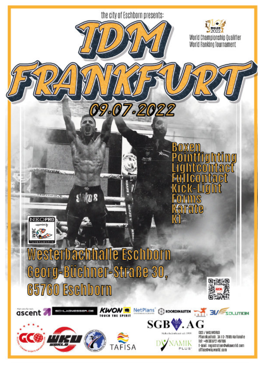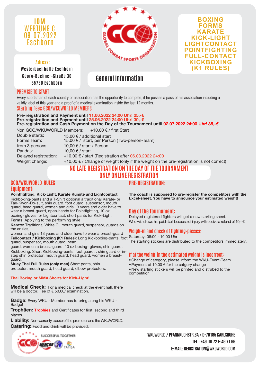

**Adress: Westerbachhalle Eschborn Georg-Büchner-Straße 30 65760 Eschborn General Information**





### PREMISE TO START

Every sportsman of each country or association has the opportunity to compete, if he posses a pass of his association including a validly label of this year and a proof of a medical examination inside the last 12 months.

Starting Fees GCO/WKUWORLD MEMBERS

**Pre-reigstration and Payment until 11.06.2022 24:00 Uhr! 25,-€ Pre-reigstration and Payment until 25.06.2022 24:00 Uhr! 30,-€ Pre-registration and Cash Payment on the Day of the Tournament until 02.07.2022 24:00 Uhr! 35,-€**

Non GCO/WKUWORLD Members: +10,00 € / first Start

Double starts: 15,00 € / additional start<br>Forms Team: 15.00 € / start. per Perso 15,00  $€$  / start, per Person (Two-person-Team) from 3 persons: 10,00 € / start / Person Pandas: 10,00 € / start Delayed registration: +10,00 € / start (Registration after 06.03.2022 24:00 Weight change:  $+10,00 \in C$  Change of weight (only if the weight on the pre-registration is not correct)

### **NO LATE REGISTRATION ON THE DAY OF THE TOURNAMENT ONLY ONLINE REGISTRATION**

### **GCO/WKUWORLD-RULES Equipment:**

**Pointfighting, Kick-Light, Karate Kumite and Lightcontact**: Kickboxing-pants and a T-Shirt optional a traditional Karate- or Tae-Kwon-Do-suit, shin guard, foot guard, suspensor, mouth guard, head guard, women and girls 13 years and older have to wear a breast-guard, open-hands for Pointfighting, 10 oz boxing- gloves for Lightcontact, short pants for Kick-Light

**Forms:** Applying to the performing style

**Karate:** Traditional White Gi, mouth guard, suspensor, guards on the ankles,

women and girls 13 years and older have to wear a breast-guard **Fullcontact / Kickboxing (K1 Rules):** Long Kickboxing-pants, foot Saturday: 08:00 - 10:00 Uhr guard, suspensor, mouth guard, head

guard, women a breast-guard, 10 oz boxing- gloves, shin guard. Kickboxing: Short Kickboxing-pants, foot guard, , shin guard or instep shin protector, mouth quard, head quard, women a breastguard.

**Muay Thai Full Rules (only men)** Short pants, shin protector, mouth guard, head guard, elbow protectors.

#### **Thai Boxing or MMA Shorts for Kick-Light!**

**Medical Check:** For a medical check at the event hall, there will be a doctor. Fee of € 50,00/ examination.

**Badge:** Every WKU - Member has to bring along his WKU - Badge!

**Trophäen: Trophies** and Certificates for first, second and third places

**Liability:** Non-warranty clause of the promoter and the WKUWORLD. **Catering:** Food and drink will be provided.



**PRE-REGISTRATION:**

**The coach is supposed to pre-register the competitors with the Excel-sheet. You have to announce your estimated weight!**

### **Day of the Tournament:**

Delayed registered fighters will get a new starting sheet. Who withdraws his paid start because of injury will receive a refund of 10,- $\epsilon$ 

### **Weigh-in and check of fighting-passes:**

The starting stickers are distributed to the competitors immediately.

### **If at the weigh-in the estimated weight is incorrect:**

- •Change of category, please inform the WKU-Event-Team
- •Payment of 10,00 € for the catgory change

•New starting stickers will be printed and distrubed to the competitior

WKUWORLD / PFANNKUCHSTR.3A / D-76185 KARLSRUHE **Tel.: +49 (0) 721- 49 71 66 E-Mail: registration@wkuworld.com**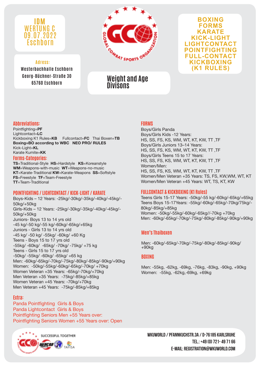

### **Adress:**

**Westerbachhalle Eschborn Georg-Büchner-Straße 30 65760 Eschborn**



### **BOXING FORMS KARATE KICK-LIGHT LIGHTCONTACT POINTFIGHTING FULL-CONTACT KICKBOXING (K1 RULES)**

## **Weight and Age Divisons**

### **Abbreviations:**

Pointfighting=**PF** Lightcontact=**LC** Kickboxing K1 Rules=**KB** Fullcontact=**FC** Thai Boxen=**TB Boxing=BO according to WBC NEO PRO/ RULES** Kick-Light=**KL** Karate Kumite=**KK**

#### **Forms-Categories:**

**TS**=Traditional-Style **HS**=Hardstyle **KS**=Koreanstyle **WM**=Weapons-with-music **WT**=Weapons-no-music **KT**=Karate-Traditional **KW**=Karate-Weapons **SS**=Softstyle **FS**=Freestyle **TF**=Team-Freestyle **TT**=Team-Traditional

#### **POINTFIGHTING / LIGHTCONTACT / KICK-LIGHT / KARATE**

Boys-Kids – 12 Years: -25kg/-30kg/-35kg/-40kg/-45kg/- 50kg/+50kg Girls-Kids – 12 Years: -25kg/-30kg/-35kg/-40kg/-45kg/- 50kg/+50kg Juniors- Boys 13 to 14 yrs old -45 kg/-50 kg/-55 kg/-60kg/-65kg/+65kg Juniors - Girls 13 to 14 yrs old -45 kg/ -50 kg/ -55kg/ -60kg/ +60 Kg Teens - Boys 15 to 17 yrs old -55kg/ -60kg/ -65kg/ -70kg/ -75kg/ +75 kg Teens - Girls 15 to 17 yrs old -50kg/ -55kg/ -60kg/ -65kg/ +65 kg Men: -60kg/-65kg/-70kg/-75kg/-80kg/-85kg/-90kg/+90kg Women: -50kg/-55kg/-60kg/-65kg/-70kg/ +70kg Women Veteran +35 Years: -65kg/-70kg/+70kg Men Veteran +35 Years: -75kg/-85kg/+85kg Women Veteran +45 Years: -70kg/+70kg Men Veteran +45 Years: -75kg/-85kg/+85kg

### **Extra:**

Panda Pointfighting Girls & Boys Panda Lightcontact Girls & Boys Pointfighting Seniors Men +55 Years over: Pointfighting Seniors Women +55 Years over: Open



### **FORMS**

Boys/Girls Panda Boys/Girls Kids -12 Years: HS, SS, FS, KS, WM, WT, KT, KW, TT ,TF Boys/Girls Juniors 13–14 Years: HS, SS, FS, KS, WM, WT, KT, KW, TT ,TF Boys/Girls Teens 15 to 17 Years: HS, SS, FS, KS, WM, WT, KT, KW, TT ,TF Women/Men: HS, SS, FS, KS, WM, WT, KT, KW, TT ,TF Women/Men Veteran +35 Years: TS, FS, KW,WM, WT, KT Women/Men Veteran +45 Years: WT, TS, KT, KW

### **FULLCONTACT & KICKBOXING (K1 Rules)**

Teens Girls 15-17 Years: -50kg/-55 kg/-60kg/-65kg/+65kg Teens Boys 15-17Years: -55kg/-60kg/-65kg/-70kg/75kg/- 80kg/-85kg/+85kg Women: -50kg/-55kg/-60kg/-65kg//-70kg +70kg Men: -60kg/-65kg/-70kg/-75kg/-80kg/-85kg/-90kg/+90kg

### **Men's Thaiboxen**

Men: -60kg/-65kg/-70kg/-75kg/-80kg/-85kg/-90kg/ +90kg

### **BOXING**

Men: -55kg, -62kg, -69kg, -76kg, -83kg, -90kg, +90kg Women: -55kg, -62kg,-69kg, +69kg

WKUWORLD / PFANNKUCHSTR.3A / D-76185 KARLSRUHE **Tel.: +49 (0) 721- 49 71 66 E-Mail: registration@wkuworld.com**